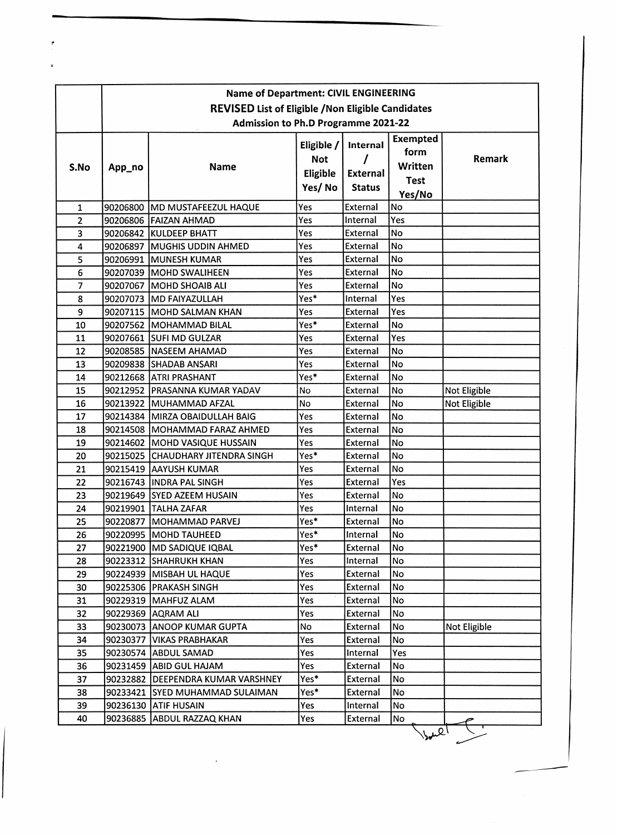|                | <b>Name of Department: CIVIL ENGINEERING</b>                                                            |                                   |                                                |                                              |                                                             |              |  |  |  |
|----------------|---------------------------------------------------------------------------------------------------------|-----------------------------------|------------------------------------------------|----------------------------------------------|-------------------------------------------------------------|--------------|--|--|--|
|                | <b>REVISED List of Eligible / Non Eligible Candidates</b><br><b>Admission to Ph.D Programme 2021-22</b> |                                   |                                                |                                              |                                                             |              |  |  |  |
| S.No           | App_no                                                                                                  | <b>Name</b>                       | Eligible /<br><b>Not</b><br>Eligible<br>Yes/No | Internal<br><b>External</b><br><b>Status</b> | <b>Exempted</b><br>form<br>Written<br><b>Test</b><br>Yes/No | Remark       |  |  |  |
| $\mathbf{1}$   |                                                                                                         | 90206800 MD MUSTAFEEZUL HAQUE     | Yes                                            | External                                     | No                                                          |              |  |  |  |
| $\overline{2}$ |                                                                                                         | 90206806 FAIZAN AHMAD             | Yes                                            | Internal                                     | Yes                                                         |              |  |  |  |
| 3              |                                                                                                         | 90206842 KULDEEP BHATT            | Yes                                            | External                                     | No                                                          |              |  |  |  |
| 4              |                                                                                                         | 90206897 MUGHIS UDDIN AHMED       | Yes                                            | External                                     | No                                                          |              |  |  |  |
| 5              |                                                                                                         | 90206991 MUNESH KUMAR             | Yes                                            | <b>External</b>                              | <b>No</b>                                                   |              |  |  |  |
| 6              |                                                                                                         | 90207039 MOHD SWALIHEEN           | Yes                                            | External                                     | <b>No</b>                                                   |              |  |  |  |
| $\overline{7}$ |                                                                                                         | 90207067 MOHD SHOAIB ALI          | Yes                                            | External                                     | No                                                          |              |  |  |  |
| 8              |                                                                                                         | 90207073 MD FAIYAZULLAH           | Yes*                                           | Internal                                     | Yes                                                         |              |  |  |  |
| 9              |                                                                                                         | 90207115   MOHD SALMAN KHAN       | Yes                                            | External                                     | Yes                                                         |              |  |  |  |
| 10             |                                                                                                         | 90207562 MOHAMMAD BILAL           | Yes*                                           | External                                     | No                                                          |              |  |  |  |
| 11             |                                                                                                         | 90207661 SUFI MD GULZAR           | Yes                                            | External                                     | Yes                                                         |              |  |  |  |
| 12             |                                                                                                         | 90208585 NASEEM AHAMAD            | Yes                                            | <b>External</b>                              | No                                                          |              |  |  |  |
| 13             |                                                                                                         | 90209838 SHADAB ANSARI            | Yes                                            | <b>External</b>                              | No                                                          |              |  |  |  |
| 14             |                                                                                                         | 90212668 ATRI PRASHANT            | Yes*                                           | External                                     | No                                                          |              |  |  |  |
| 15             |                                                                                                         | 90212952 PRASANNA KUMAR YADAV     | No                                             | External                                     | No                                                          | Not Eligible |  |  |  |
| 16             |                                                                                                         | 90213922 MUHAMMAD AFZAL           | No                                             | External                                     | <b>No</b>                                                   | Not Eligible |  |  |  |
| 17             |                                                                                                         | 90214384   MIRZA OBAIDULLAH BAIG  | Yes                                            | External                                     | No                                                          |              |  |  |  |
| 18             |                                                                                                         | 90214508 MOHAMMAD FARAZ AHMED     | Yes                                            | External                                     | <b>No</b>                                                   |              |  |  |  |
| 19             |                                                                                                         | 90214602   MOHD VASIQUE HUSSAIN   | Yes                                            | <b>External</b>                              | <b>No</b>                                                   |              |  |  |  |
| 20             |                                                                                                         | 90215025 CHAUDHARY JITENDRA SINGH | Yes*                                           | <b>External</b>                              | No                                                          |              |  |  |  |
| 21             |                                                                                                         | 90215419 AAYUSH KUMAR             | Yes                                            | External                                     | No                                                          |              |  |  |  |
| 22             |                                                                                                         | 90216743 INDRA PAL SINGH          | Yes                                            | External                                     | Yes                                                         |              |  |  |  |
| 23             |                                                                                                         | 90219649 SYED AZEEM HUSAIN        | Yes                                            | External                                     | No                                                          |              |  |  |  |
| 24             |                                                                                                         | 90219901 TALHA ZAFAR              | Yes                                            | Internal                                     | No                                                          |              |  |  |  |
| 25             |                                                                                                         | 90220877 MOHAMMAD PARVEJ          | Yes*                                           | External                                     | No                                                          |              |  |  |  |
| 26             |                                                                                                         | 90220995 MOHD TAUHEED             | Yes*                                           | Internal                                     | No                                                          |              |  |  |  |
| 27             |                                                                                                         | 90221900 MD SADIQUE IQBAL         | Yes*                                           | External                                     | No                                                          |              |  |  |  |
| 28             |                                                                                                         | 90223312 SHAHRUKH KHAN            | Yes                                            | Internal                                     | <b>No</b>                                                   |              |  |  |  |
| 29             |                                                                                                         | 90224939   MISBAH UL HAQUE        | Yes                                            | <b>External</b>                              | <b>No</b>                                                   |              |  |  |  |
| 30             |                                                                                                         | 90225306 PRAKASH SINGH            | Yes                                            | External                                     | No                                                          |              |  |  |  |
| 31             |                                                                                                         | 90229319 MAHFUZ ALAM              | Yes                                            | External                                     | No                                                          |              |  |  |  |
| 32             |                                                                                                         | 90229369 AQRAM ALI                | Yes                                            | External                                     | No                                                          |              |  |  |  |
| 33             |                                                                                                         | 90230073 ANOOP KUMAR GUPTA        | No                                             | External                                     | No.                                                         | Not Eligible |  |  |  |
| 34             | 90230377                                                                                                | <b>VIKAS PRABHAKAR</b>            | Yes                                            | <b>External</b>                              | No                                                          |              |  |  |  |
| 35             | 90230574                                                                                                | <b>ABDUL SAMAD</b>                | Yes                                            | Internal                                     | Yes                                                         |              |  |  |  |
| 36             |                                                                                                         | 90231459 ABID GUL HAJAM           | Yes                                            | External                                     | No                                                          |              |  |  |  |
| 37             | 90232882                                                                                                | DEEPENDRA KUMAR VARSHNEY          | Yes*                                           | External                                     | No                                                          |              |  |  |  |
| 38             | 90233421                                                                                                | <b>SYED MUHAMMAD SULAIMAN</b>     | Yes*                                           | External                                     | No                                                          |              |  |  |  |
| 39             |                                                                                                         | 90236130 ATIF HUSAIN              | Yes                                            | Internal                                     | No                                                          |              |  |  |  |
| 40             | 90236885                                                                                                | <b>ABDUL RAZZAQ KHAN</b>          | Yes                                            | External                                     | No                                                          |              |  |  |  |
|                |                                                                                                         |                                   |                                                |                                              | .2 <sub>1</sub>                                             |              |  |  |  |

 $\bar{\lambda}$